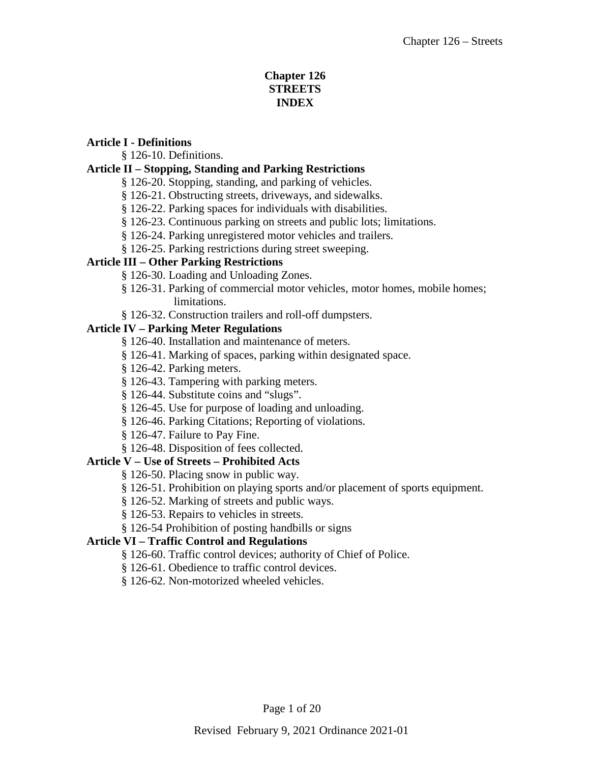# **Chapter 126 STREETS INDEX**

#### **Article I - Definitions**

§ 126-10. Definitions.

# **Article II – Stopping, Standing and Parking Restrictions**

- § 126-20. Stopping, standing, and parking of vehicles.
- § 126-21. Obstructing streets, driveways, and sidewalks.
- § 126-22. Parking spaces for individuals with disabilities.
- § 126-23. Continuous parking on streets and public lots; limitations.
- § 126-24. Parking unregistered motor vehicles and trailers.
- § 126-25. Parking restrictions during street sweeping.

## **Article III – Other Parking Restrictions**

- § 126-30. Loading and Unloading Zones.
- § 126-31. Parking of commercial motor vehicles, motor homes, mobile homes; limitations.
- § 126-32. Construction trailers and roll-off dumpsters.

## **Article IV – Parking Meter Regulations**

- § 126-40. Installation and maintenance of meters.
- § 126-41. Marking of spaces, parking within designated space.
- § 126-42. Parking meters.
- § 126-43. Tampering with parking meters.
- § 126-44. Substitute coins and "slugs".
- § 126-45. Use for purpose of loading and unloading.
- § 126-46. Parking Citations; Reporting of violations.
- § 126-47. Failure to Pay Fine.
- § 126-48. Disposition of fees collected.

## **Article V – Use of Streets – Prohibited Acts**

- § 126-50. Placing snow in public way.
- § 126-51. Prohibition on playing sports and/or placement of sports equipment.
- § 126-52. Marking of streets and public ways.
- § 126-53. Repairs to vehicles in streets.
- § 126-54 Prohibition of posting handbills or signs

## **Article VI – Traffic Control and Regulations**

- § 126-60. Traffic control devices; authority of Chief of Police.
- § 126-61. Obedience to traffic control devices.
- § 126-62. Non-motorized wheeled vehicles.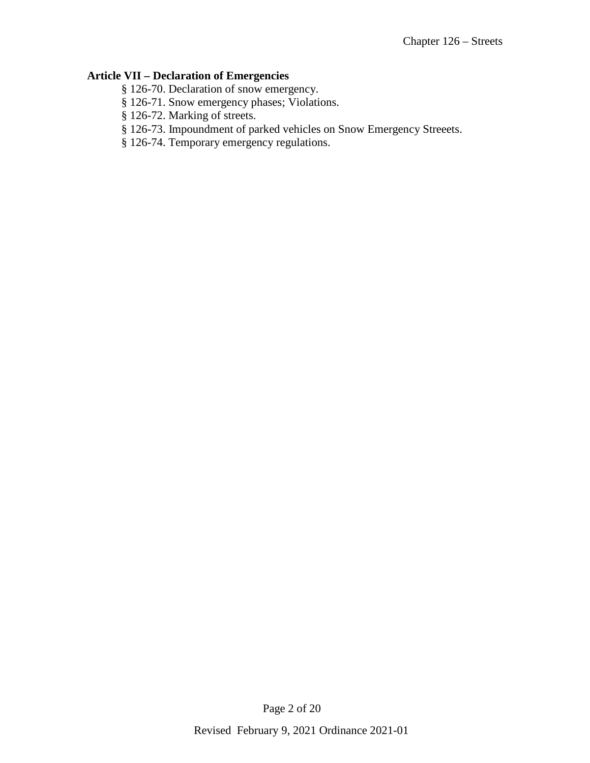# **Article VII – Declaration of Emergencies**

- § 126-70. Declaration of snow emergency.
- § 126-71. Snow emergency phases; Violations.
- § 126-72. Marking of streets.
- § 126-73. Impoundment of parked vehicles on Snow Emergency Streeets.
- § 126-74. Temporary emergency regulations.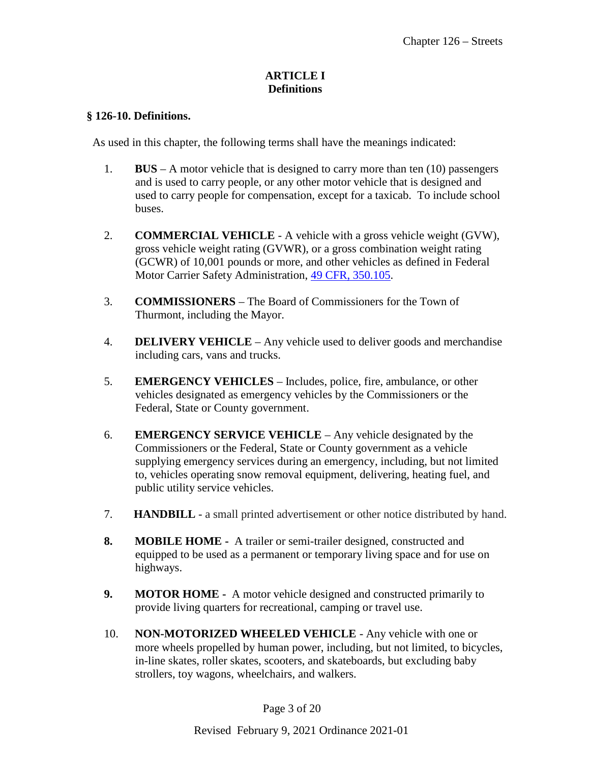### **ARTICLE I Definitions**

#### **§ 126-10. Definitions.**

As used in this chapter, the following terms shall have the meanings indicated:

- 1. **BUS** A motor vehicle that is designed to carry more than ten (10) passengers and is used to carry people, or any other motor vehicle that is designed and used to carry people for compensation, except for a taxicab. To include school buses.
- 2. **COMMERCIAL VEHICLE** A vehicle with a gross vehicle weight (GVW), gross vehicle weight rating (GVWR), or a gross combination weight rating (GCWR) of 10,001 pounds or more, and other vehicles as defined in Federal Motor Carrier Safety Administration, [49 CFR, 350.105.](http://edocket.access.gpo.gov/cfr_2003/octqtr/pdf/49cfr350.105.pdf)
- 3. **COMMISSIONERS** The Board of Commissioners for the Town of Thurmont, including the Mayor.
- 4. **DELIVERY VEHICLE**  Any vehicle used to deliver goods and merchandise including cars, vans and trucks.
- 5. **EMERGENCY VEHICLES** Includes, police, fire, ambulance, or other vehicles designated as emergency vehicles by the Commissioners or the Federal, State or County government.
- 6. **EMERGENCY SERVICE VEHICLE** Any vehicle designated by the Commissioners or the Federal, State or County government as a vehicle supplying emergency services during an emergency, including, but not limited to, vehicles operating snow removal equipment, delivering, heating fuel, and public utility service vehicles.
- 7. **HANDBILL** a small printed advertisement or other notice distributed by hand.
- **8. MOBILE HOME -** A trailer or semi-trailer designed, constructed and equipped to be used as a permanent or temporary living space and for use on highways.
- **9. MOTOR HOME -** A motor vehicle designed and constructed primarily to provide living quarters for recreational, camping or travel use.
- 10. **NON-MOTORIZED WHEELED VEHICLE** Any vehicle with one or more wheels propelled by human power, including, but not limited, to bicycles, in-line skates, roller skates, scooters, and skateboards, but excluding baby strollers, toy wagons, wheelchairs, and walkers.

Page 3 of 20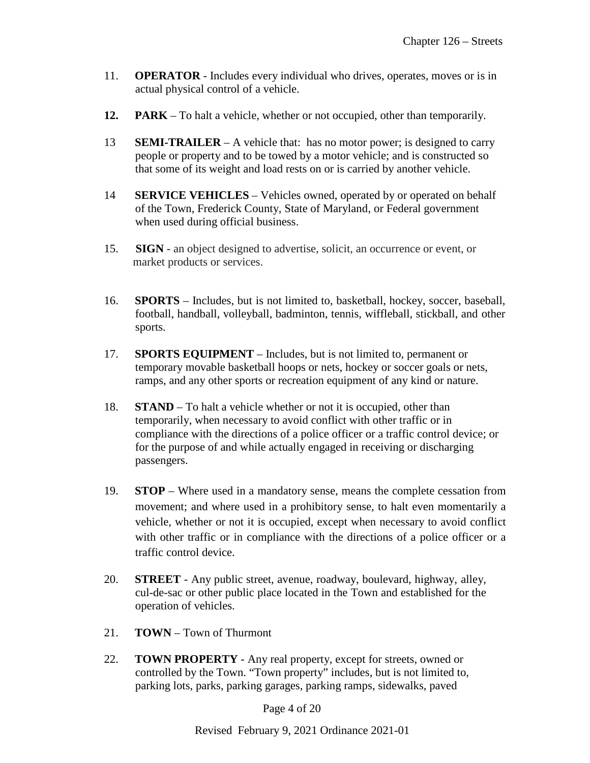- 11. **OPERATOR** Includes every individual who drives, operates, moves or is in actual physical control of a vehicle.
- **12. PARK** To halt a vehicle, whether or not occupied, other than temporarily.
- 13 **SEMI-TRAILER**  A vehicle that: has no motor power; is designed to carry people or property and to be towed by a motor vehicle; and is constructed so that some of its weight and load rests on or is carried by another vehicle.
- 14 **SERVICE VEHICLES**  Vehicles owned, operated by or operated on behalf of the Town, Frederick County, State of Maryland, or Federal government when used during official business.
- 15. **SIGN** an object designed to advertise, solicit, an occurrence or event, or market products or services.
- 16. **SPORTS** Includes, but is not limited to, basketball, hockey, soccer, baseball, football, handball, volleyball, badminton, tennis, wiffleball, stickball, and other sports.
- 17. **SPORTS EQUIPMENT** Includes, but is not limited to, permanent or temporary movable basketball hoops or nets, hockey or soccer goals or nets, ramps, and any other sports or recreation equipment of any kind or nature.
- 18. **STAND**  To halt a vehicle whether or not it is occupied, other than temporarily, when necessary to avoid conflict with other traffic or in compliance with the directions of a police officer or a traffic control device; or for the purpose of and while actually engaged in receiving or discharging passengers.
- 19. **STOP** Where used in a mandatory sense, means the complete cessation from movement; and where used in a prohibitory sense, to halt even momentarily a vehicle, whether or not it is occupied, except when necessary to avoid conflict with other traffic or in compliance with the directions of a police officer or a traffic control device.
- 20. **STREET** Any public street, avenue, roadway, boulevard, highway, alley, cul-de-sac or other public place located in the Town and established for the operation of vehicles.
- 21. **TOWN**  Town of Thurmont
- 22. **TOWN PROPERTY** Any real property, except for streets, owned or controlled by the Town. "Town property" includes, but is not limited to, parking lots, parks, parking garages, parking ramps, sidewalks, paved

Page 4 of 20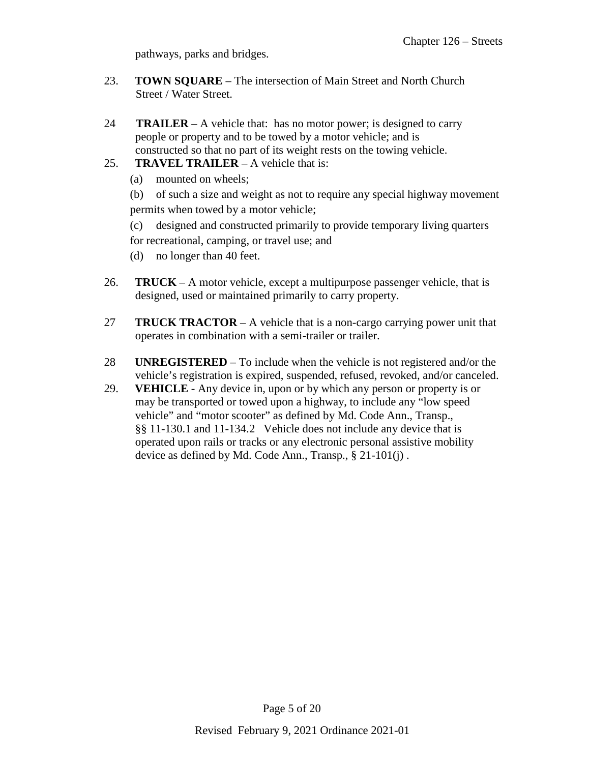pathways, parks and bridges.

- 23. **TOWN SQUARE** The intersection of Main Street and North Church Street / Water Street.
- 24 **TRAILER**  A vehicle that: has no motor power; is designed to carry people or property and to be towed by a motor vehicle; and is constructed so that no part of its weight rests on the towing vehicle.
- 25. **TRAVEL TRAILER** A vehicle that is:
	- (a) mounted on wheels;

(b) of such a size and weight as not to require any special highway movement permits when towed by a motor vehicle;

- (c) designed and constructed primarily to provide temporary living quarters for recreational, camping, or travel use; and
- (d) no longer than 40 feet.
- 26. **TRUCK** A motor vehicle, except a multipurpose passenger vehicle, that is designed, used or maintained primarily to carry property.
- 27 **TRUCK TRACTOR** A vehicle that is a non-cargo carrying power unit that operates in combination with a semi-trailer or trailer.
- 28 **UNREGISTERED** To include when the vehicle is not registered and/or the vehicle's registration is expired, suspended, refused, revoked, and/or canceled.
- 29. **VEHICLE** Any device in, upon or by which any person or property is or may be transported or towed upon a highway, to include any "low speed vehicle" and "motor scooter" as defined by Md. Code Ann., Transp., §§ 11-130.1 and 11-134.2 Vehicle does not include any device that is operated upon rails or tracks or any electronic personal assistive mobility device as defined by Md. Code Ann., Transp., § 21-101(j) .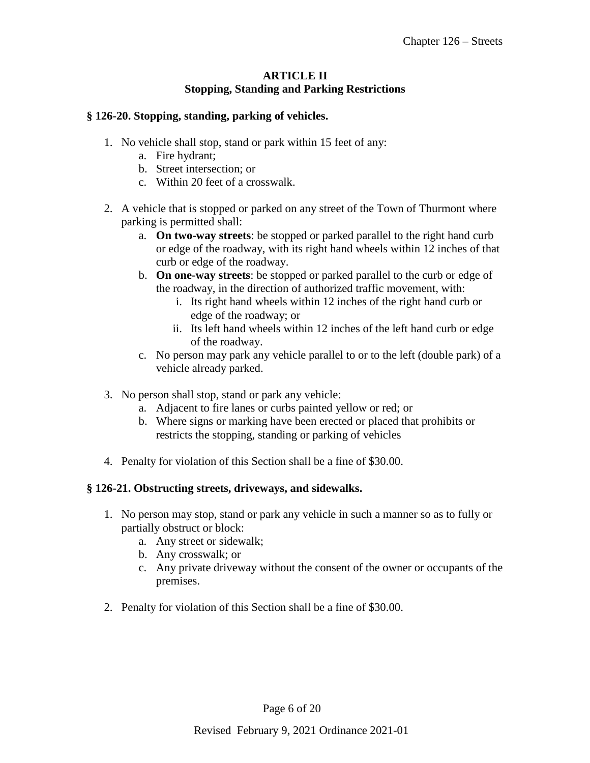# **ARTICLE II Stopping, Standing and Parking Restrictions**

### **§ 126-20. Stopping, standing, parking of vehicles.**

- 1. No vehicle shall stop, stand or park within 15 feet of any:
	- a. Fire hydrant;
	- b. Street intersection; or
	- c. Within 20 feet of a crosswalk.
- 2. A vehicle that is stopped or parked on any street of the Town of Thurmont where parking is permitted shall:
	- a. **On two-way streets**: be stopped or parked parallel to the right hand curb or edge of the roadway, with its right hand wheels within 12 inches of that curb or edge of the roadway.
	- b. **On one-way streets**: be stopped or parked parallel to the curb or edge of the roadway, in the direction of authorized traffic movement, with:
		- i. Its right hand wheels within 12 inches of the right hand curb or edge of the roadway; or
		- ii. Its left hand wheels within 12 inches of the left hand curb or edge of the roadway.
	- c. No person may park any vehicle parallel to or to the left (double park) of a vehicle already parked.
- 3. No person shall stop, stand or park any vehicle:
	- a. Adjacent to fire lanes or curbs painted yellow or red; or
	- b. Where signs or marking have been erected or placed that prohibits or restricts the stopping, standing or parking of vehicles
- 4. Penalty for violation of this Section shall be a fine of \$30.00.

#### **§ 126-21. Obstructing streets, driveways, and sidewalks.**

- 1. No person may stop, stand or park any vehicle in such a manner so as to fully or partially obstruct or block:
	- a. Any street or sidewalk;
	- b. Any crosswalk; or
	- c. Any private driveway without the consent of the owner or occupants of the premises.
- 2. Penalty for violation of this Section shall be a fine of \$30.00.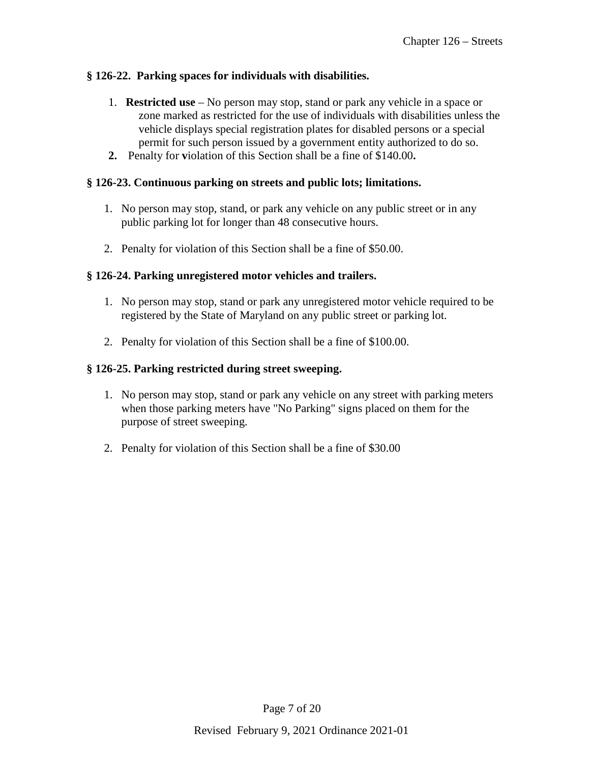## **§ 126-22. Parking spaces for individuals with disabilities.**

- 1. **Restricted use**  No person may stop, stand or park any vehicle in a space or zone marked as restricted for the use of individuals with disabilities unless the vehicle displays special registration plates for disabled persons or a special permit for such person issued by a government entity authorized to do so.
- **2.** Penalty for **v**iolation of this Section shall be a fine of \$140.00**.**

### **§ 126-23. Continuous parking on streets and public lots; limitations.**

- 1. No person may stop, stand, or park any vehicle on any public street or in any public parking lot for longer than 48 consecutive hours.
- 2. Penalty for violation of this Section shall be a fine of \$50.00.

### **§ 126-24. Parking unregistered motor vehicles and trailers.**

- 1. No person may stop, stand or park any unregistered motor vehicle required to be registered by the State of Maryland on any public street or parking lot.
- 2. Penalty for violation of this Section shall be a fine of \$100.00.

### **§ 126-25. Parking restricted during street sweeping.**

- 1. No person may stop, stand or park any vehicle on any street with parking meters when those parking meters have "No Parking" signs placed on them for the purpose of street sweeping.
- 2. Penalty for violation of this Section shall be a fine of \$30.00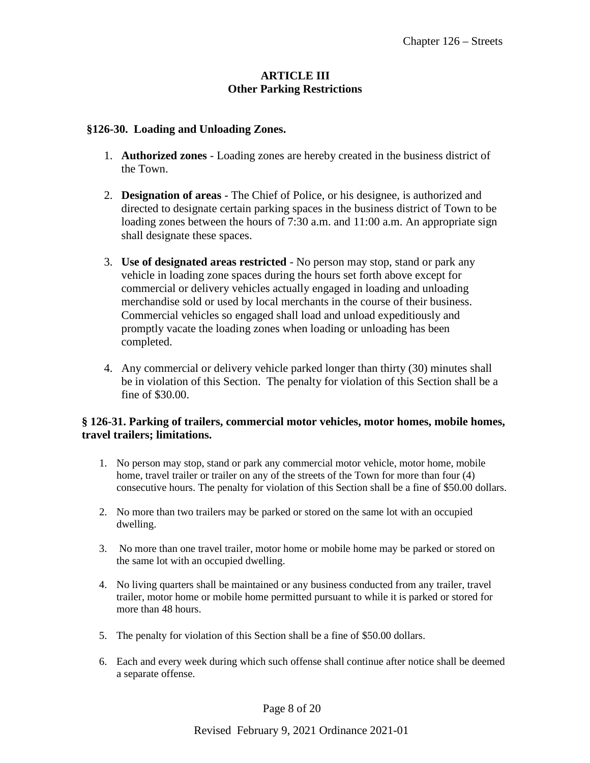### **ARTICLE III Other Parking Restrictions**

#### **§126-30. Loading and Unloading Zones.**

- 1. **Authorized zones** Loading zones are hereby created in the business district of the Town.
- 2. **Designation of areas** The Chief of Police, or his designee, is authorized and directed to designate certain parking spaces in the business district of Town to be loading zones between the hours of 7:30 a.m. and 11:00 a.m. An appropriate sign shall designate these spaces.
- 3. **Use of designated areas restricted** No person may stop, stand or park any vehicle in loading zone spaces during the hours set forth above except for commercial or delivery vehicles actually engaged in loading and unloading merchandise sold or used by local merchants in the course of their business. Commercial vehicles so engaged shall load and unload expeditiously and promptly vacate the loading zones when loading or unloading has been completed.
- 4. Any commercial or delivery vehicle parked longer than thirty (30) minutes shall be in violation of this Section. The penalty for violation of this Section shall be a fine of \$30.00.

#### **§ 126-31. Parking of trailers, commercial motor vehicles, motor homes, mobile homes, travel trailers; limitations.**

- 1. No person may stop, stand or park any commercial motor vehicle, motor home, mobile home, travel trailer or trailer on any of the streets of the Town for more than four (4) consecutive hours. The penalty for violation of this Section shall be a fine of \$50.00 dollars.
- 2. No more than two trailers may be parked or stored on the same lot with an occupied dwelling.
- 3. No more than one travel trailer, motor home or mobile home may be parked or stored on the same lot with an occupied dwelling.
- 4. No living quarters shall be maintained or any business conducted from any trailer, travel trailer, motor home or mobile home permitted pursuant to while it is parked or stored for more than 48 hours.
- 5. The penalty for violation of this Section shall be a fine of \$50.00 dollars.
- 6. Each and every week during which such offense shall continue after notice shall be deemed a separate offense.

Page 8 of 20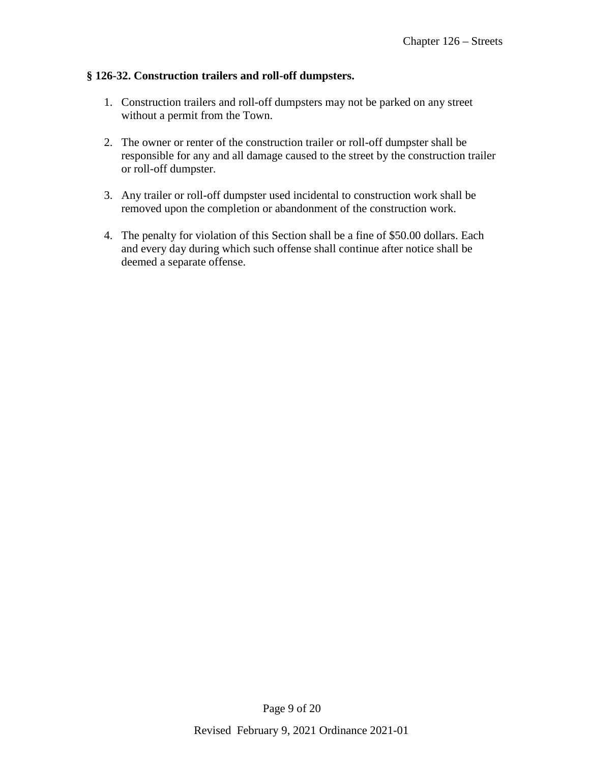### **§ 126-32. Construction trailers and roll-off dumpsters.**

- 1. Construction trailers and roll-off dumpsters may not be parked on any street without a permit from the Town.
- 2. The owner or renter of the construction trailer or roll-off dumpster shall be responsible for any and all damage caused to the street by the construction trailer or roll-off dumpster.
- 3. Any trailer or roll-off dumpster used incidental to construction work shall be removed upon the completion or abandonment of the construction work.
- 4. The penalty for violation of this Section shall be a fine of \$50.00 dollars. Each and every day during which such offense shall continue after notice shall be deemed a separate offense.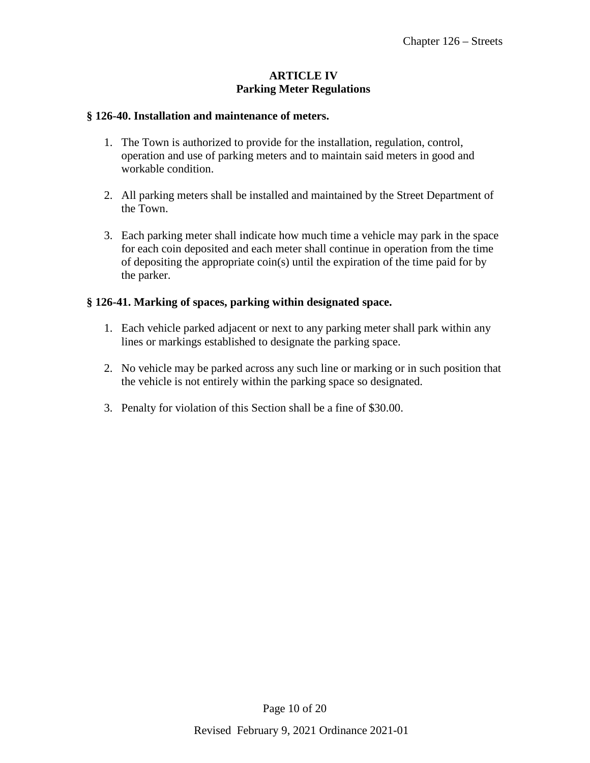# **ARTICLE IV Parking Meter Regulations**

#### **§ 126-40. Installation and maintenance of meters.**

- 1. The Town is authorized to provide for the installation, regulation, control, operation and use of parking meters and to maintain said meters in good and workable condition.
- 2. All parking meters shall be installed and maintained by the Street Department of the Town.
- 3. Each parking meter shall indicate how much time a vehicle may park in the space for each coin deposited and each meter shall continue in operation from the time of depositing the appropriate coin(s) until the expiration of the time paid for by the parker.

## **§ 126-41. Marking of spaces, parking within designated space.**

- 1. Each vehicle parked adjacent or next to any parking meter shall park within any lines or markings established to designate the parking space.
- 2. No vehicle may be parked across any such line or marking or in such position that the vehicle is not entirely within the parking space so designated.
- 3. Penalty for violation of this Section shall be a fine of \$30.00.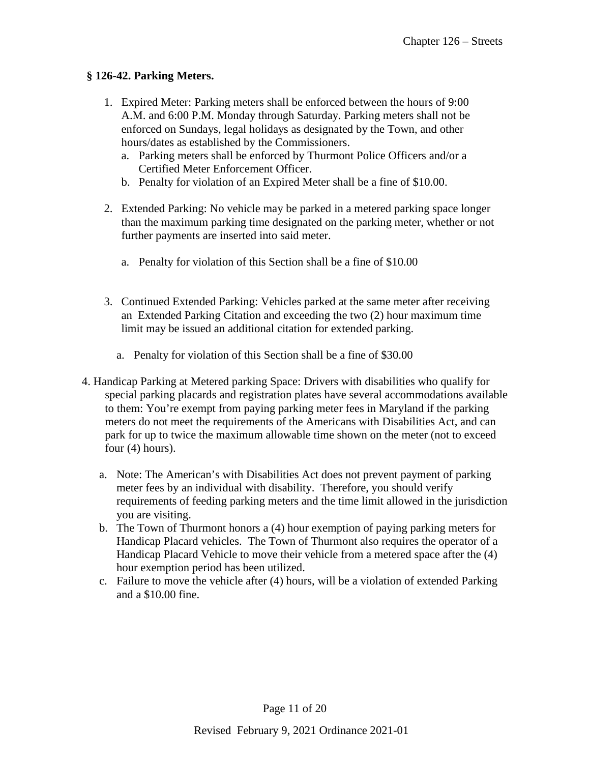## **§ 126-42. Parking Meters.**

- 1. Expired Meter: Parking meters shall be enforced between the hours of 9:00 A.M. and 6:00 P.M. Monday through Saturday. Parking meters shall not be enforced on Sundays, legal holidays as designated by the Town, and other hours/dates as established by the Commissioners.
	- a. Parking meters shall be enforced by Thurmont Police Officers and/or a Certified Meter Enforcement Officer.
	- b. Penalty for violation of an Expired Meter shall be a fine of \$10.00.
- 2. Extended Parking: No vehicle may be parked in a metered parking space longer than the maximum parking time designated on the parking meter, whether or not further payments are inserted into said meter.
	- a. Penalty for violation of this Section shall be a fine of \$10.00
- 3. Continued Extended Parking: Vehicles parked at the same meter after receiving an Extended Parking Citation and exceeding the two (2) hour maximum time limit may be issued an additional citation for extended parking.
	- a. Penalty for violation of this Section shall be a fine of \$30.00
- 4. Handicap Parking at Metered parking Space: Drivers with disabilities who qualify for special parking placards and registration plates have several accommodations available to them: You're exempt from paying parking meter fees in Maryland if the parking meters do not meet the requirements of the Americans with Disabilities Act, and can park for up to twice the maximum allowable time shown on the meter (not to exceed four (4) hours).
	- a. Note: The American's with Disabilities Act does not prevent payment of parking meter fees by an individual with disability. Therefore, you should verify requirements of feeding parking meters and the time limit allowed in the jurisdiction you are visiting.
	- b. The Town of Thurmont honors a (4) hour exemption of paying parking meters for Handicap Placard vehicles. The Town of Thurmont also requires the operator of a Handicap Placard Vehicle to move their vehicle from a metered space after the (4) hour exemption period has been utilized.
	- c. Failure to move the vehicle after (4) hours, will be a violation of extended Parking and a \$10.00 fine.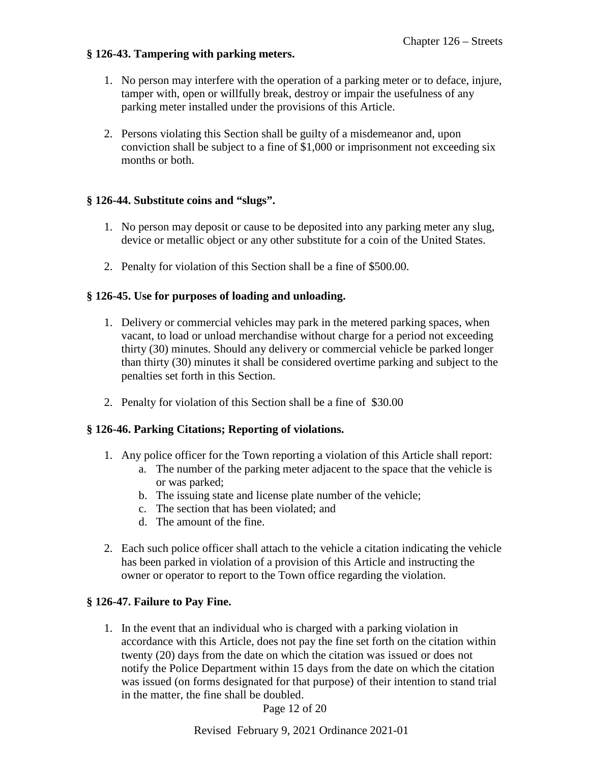### **§ 126-43. Tampering with parking meters.**

- 1. No person may interfere with the operation of a parking meter or to deface, injure, tamper with, open or willfully break, destroy or impair the usefulness of any parking meter installed under the provisions of this Article.
- 2. Persons violating this Section shall be guilty of a misdemeanor and, upon conviction shall be subject to a fine of \$1,000 or imprisonment not exceeding six months or both.

### **§ 126-44. Substitute coins and "slugs".**

- 1. No person may deposit or cause to be deposited into any parking meter any slug, device or metallic object or any other substitute for a coin of the United States.
- 2. Penalty for violation of this Section shall be a fine of \$500.00.

### **§ 126-45. Use for purposes of loading and unloading.**

- 1. Delivery or commercial vehicles may park in the metered parking spaces, when vacant, to load or unload merchandise without charge for a period not exceeding thirty (30) minutes. Should any delivery or commercial vehicle be parked longer than thirty (30) minutes it shall be considered overtime parking and subject to the penalties set forth in this Section.
- 2. Penalty for violation of this Section shall be a fine of \$30.00

#### **§ 126-46. Parking Citations; Reporting of violations.**

- 1. Any police officer for the Town reporting a violation of this Article shall report:
	- a. The number of the parking meter adjacent to the space that the vehicle is or was parked;
	- b. The issuing state and license plate number of the vehicle;
	- c. The section that has been violated; and
	- d. The amount of the fine.
- 2. Each such police officer shall attach to the vehicle a citation indicating the vehicle has been parked in violation of a provision of this Article and instructing the owner or operator to report to the Town office regarding the violation.

## **§ 126-47. Failure to Pay Fine.**

1. In the event that an individual who is charged with a parking violation in accordance with this Article, does not pay the fine set forth on the citation within twenty (20) days from the date on which the citation was issued or does not notify the Police Department within 15 days from the date on which the citation was issued (on forms designated for that purpose) of their intention to stand trial in the matter, the fine shall be doubled.

Page 12 of 20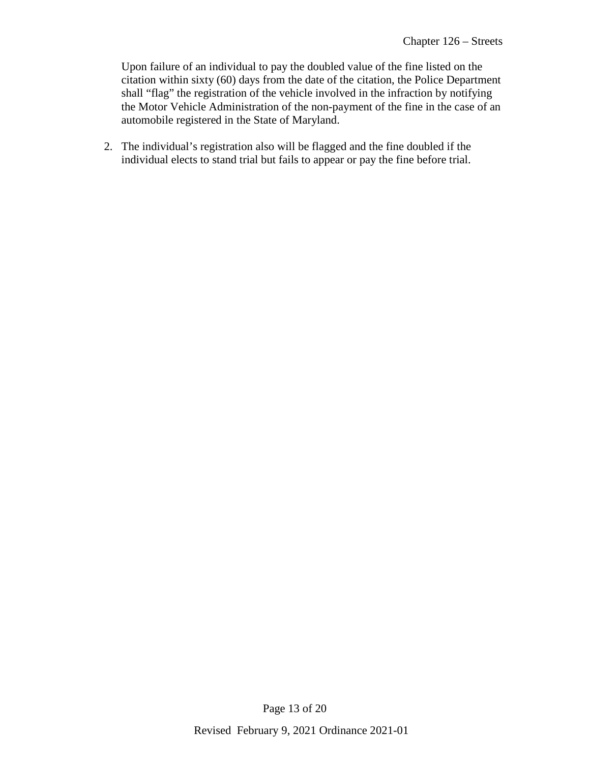Upon failure of an individual to pay the doubled value of the fine listed on the citation within sixty (60) days from the date of the citation, the Police Department shall "flag" the registration of the vehicle involved in the infraction by notifying the Motor Vehicle Administration of the non-payment of the fine in the case of an automobile registered in the State of Maryland.

2. The individual's registration also will be flagged and the fine doubled if the individual elects to stand trial but fails to appear or pay the fine before trial.

Page 13 of 20

Revised February 9, 2021 Ordinance 2021-01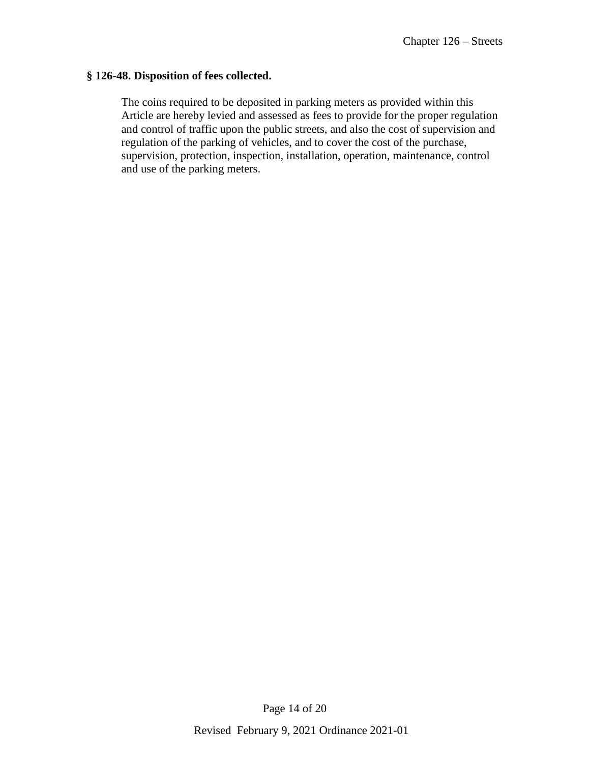#### **§ 126-48. Disposition of fees collected.**

The coins required to be deposited in parking meters as provided within this Article are hereby levied and assessed as fees to provide for the proper regulation and control of traffic upon the public streets, and also the cost of supervision and regulation of the parking of vehicles, and to cover the cost of the purchase, supervision, protection, inspection, installation, operation, maintenance, control and use of the parking meters.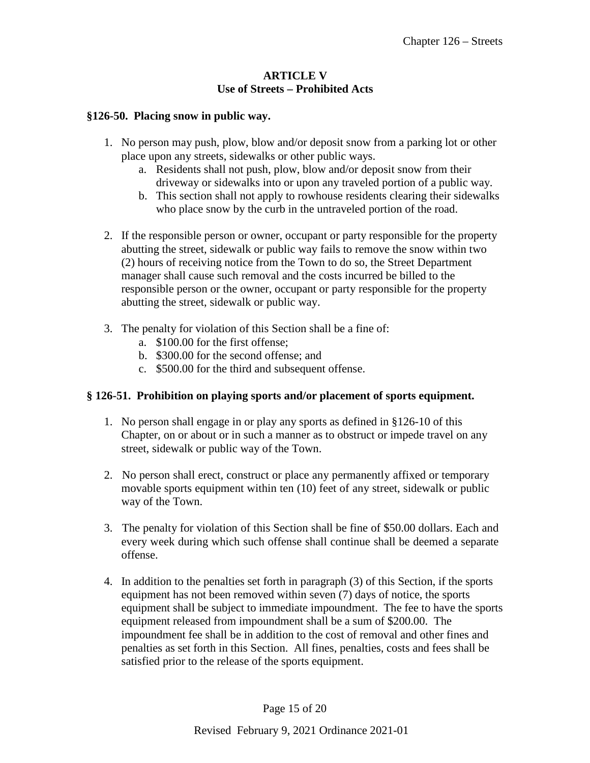### **ARTICLE V Use of Streets – Prohibited Acts**

### **§126-50. Placing snow in public way.**

- 1. No person may push, plow, blow and/or deposit snow from a parking lot or other place upon any streets, sidewalks or other public ways.
	- a. Residents shall not push, plow, blow and/or deposit snow from their driveway or sidewalks into or upon any traveled portion of a public way.
	- b. This section shall not apply to rowhouse residents clearing their sidewalks who place snow by the curb in the untraveled portion of the road.
- 2. If the responsible person or owner, occupant or party responsible for the property abutting the street, sidewalk or public way fails to remove the snow within two (2) hours of receiving notice from the Town to do so, the Street Department manager shall cause such removal and the costs incurred be billed to the responsible person or the owner, occupant or party responsible for the property abutting the street, sidewalk or public way.
- 3. The penalty for violation of this Section shall be a fine of:
	- a. \$100.00 for the first offense;
	- b. \$300.00 for the second offense; and
	- c. \$500.00 for the third and subsequent offense.

## **§ 126-51. Prohibition on playing sports and/or placement of sports equipment.**

- 1. No person shall engage in or play any sports as defined in §126-10 of this Chapter, on or about or in such a manner as to obstruct or impede travel on any street, sidewalk or public way of the Town.
- 2. No person shall erect, construct or place any permanently affixed or temporary movable sports equipment within ten (10) feet of any street, sidewalk or public way of the Town.
- 3. The penalty for violation of this Section shall be fine of \$50.00 dollars. Each and every week during which such offense shall continue shall be deemed a separate offense.
- 4. In addition to the penalties set forth in paragraph (3) of this Section, if the sports equipment has not been removed within seven (7) days of notice, the sports equipment shall be subject to immediate impoundment. The fee to have the sports equipment released from impoundment shall be a sum of \$200.00. The impoundment fee shall be in addition to the cost of removal and other fines and penalties as set forth in this Section. All fines, penalties, costs and fees shall be satisfied prior to the release of the sports equipment.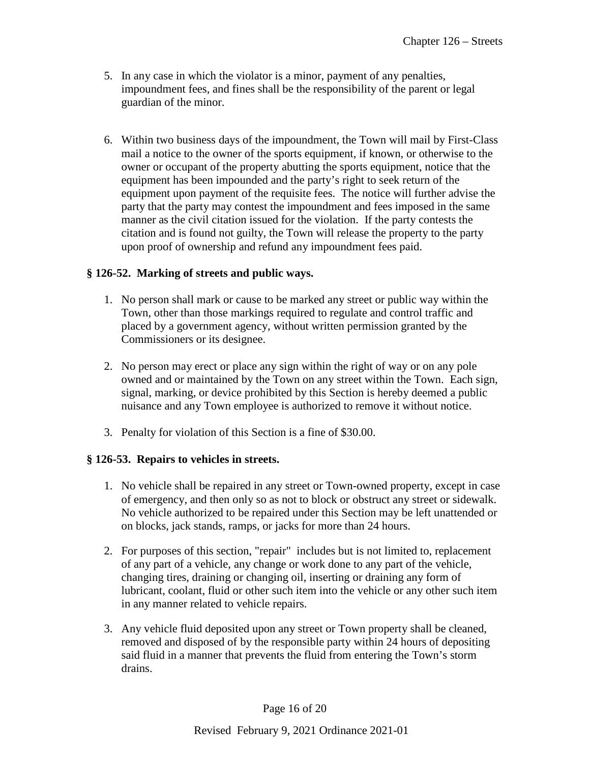- 5. In any case in which the violator is a minor, payment of any penalties, impoundment fees, and fines shall be the responsibility of the parent or legal guardian of the minor.
- 6. Within two business days of the impoundment, the Town will mail by First-Class mail a notice to the owner of the sports equipment, if known, or otherwise to the owner or occupant of the property abutting the sports equipment, notice that the equipment has been impounded and the party's right to seek return of the equipment upon payment of the requisite fees. The notice will further advise the party that the party may contest the impoundment and fees imposed in the same manner as the civil citation issued for the violation. If the party contests the citation and is found not guilty, the Town will release the property to the party upon proof of ownership and refund any impoundment fees paid.

# **§ 126-52. Marking of streets and public ways.**

- 1. No person shall mark or cause to be marked any street or public way within the Town, other than those markings required to regulate and control traffic and placed by a government agency, without written permission granted by the Commissioners or its designee.
- 2. No person may erect or place any sign within the right of way or on any pole owned and or maintained by the Town on any street within the Town. Each sign, signal, marking, or device prohibited by this Section is hereby deemed a public nuisance and any Town employee is authorized to remove it without notice.
- 3. Penalty for violation of this Section is a fine of \$30.00.

## **§ 126-53. Repairs to vehicles in streets.**

- 1. No vehicle shall be repaired in any street or Town-owned property, except in case of emergency, and then only so as not to block or obstruct any street or sidewalk. No vehicle authorized to be repaired under this Section may be left unattended or on blocks, jack stands, ramps, or jacks for more than 24 hours.
- 2. For purposes of this section, "repair" includes but is not limited to, replacement of any part of a vehicle, any change or work done to any part of the vehicle, changing tires, draining or changing oil, inserting or draining any form of lubricant, coolant, fluid or other such item into the vehicle or any other such item in any manner related to vehicle repairs.
- 3. Any vehicle fluid deposited upon any street or Town property shall be cleaned, removed and disposed of by the responsible party within 24 hours of depositing said fluid in a manner that prevents the fluid from entering the Town's storm drains.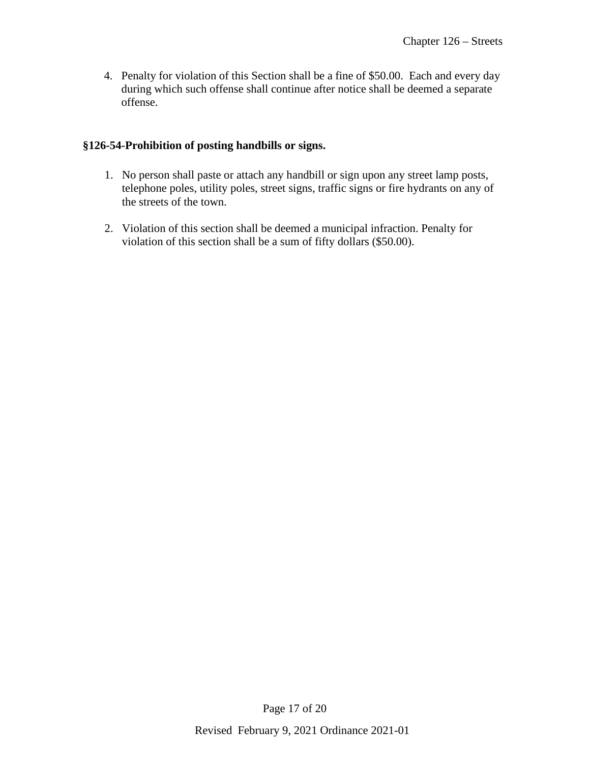4. Penalty for violation of this Section shall be a fine of \$50.00. Each and every day during which such offense shall continue after notice shall be deemed a separate offense.

# **§126-54-Prohibition of posting handbills or signs.**

- 1. No person shall paste or attach any handbill or sign upon any street lamp posts, telephone poles, utility poles, street signs, traffic signs or fire hydrants on any of the streets of the town.
- 2. Violation of this section shall be deemed a municipal infraction. Penalty for violation of this section shall be a sum of fifty dollars (\$50.00).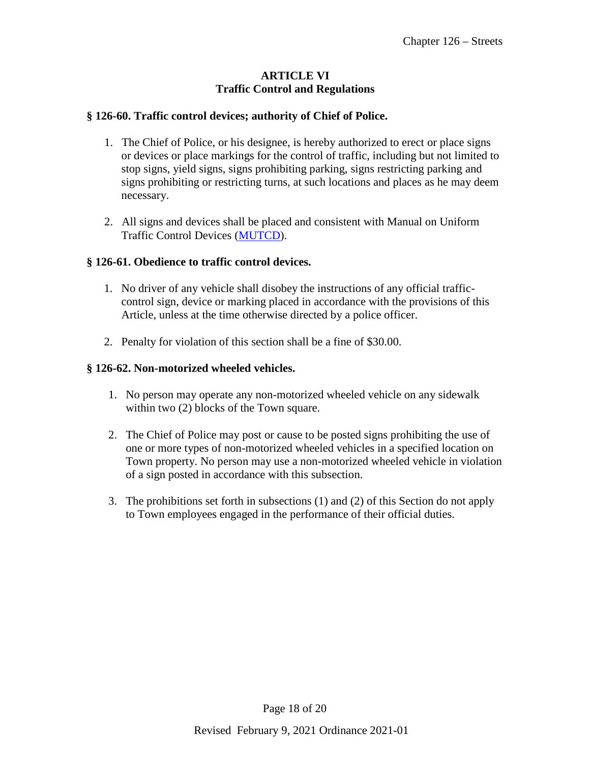### **ARTICLE VI Traffic Control and Regulations**

### **§ 126-60. Traffic control devices; authority of Chief of Police.**

- 1. The Chief of Police, or his designee, is hereby authorized to erect or place signs or devices or place markings for the control of traffic, including but not limited to stop signs, yield signs, signs prohibiting parking, signs restricting parking and signs prohibiting or restricting turns, at such locations and places as he may deem necessary.
- 2. All signs and devices shall be placed and consistent with Manual on Uniform Traffic Control Devices [\(MUTCD\)](http://mutcd.fhwa.dot.gov/pdfs/2003r1r2/pdf_index.htm).

### **§ 126-61. Obedience to traffic control devices.**

- 1. No driver of any vehicle shall disobey the instructions of any official trafficcontrol sign, device or marking placed in accordance with the provisions of this Article, unless at the time otherwise directed by a police officer.
- 2. Penalty for violation of this section shall be a fine of \$30.00.

### **§ 126-62. Non-motorized wheeled vehicles.**

- 1. No person may operate any non-motorized wheeled vehicle on any sidewalk within two  $(2)$  blocks of the Town square.
- 2. The Chief of Police may post or cause to be posted signs prohibiting the use of one or more types of non-motorized wheeled vehicles in a specified location on Town property. No person may use a non-motorized wheeled vehicle in violation of a sign posted in accordance with this subsection.
- 3. The prohibitions set forth in subsections (1) and (2) of this Section do not apply to Town employees engaged in the performance of their official duties.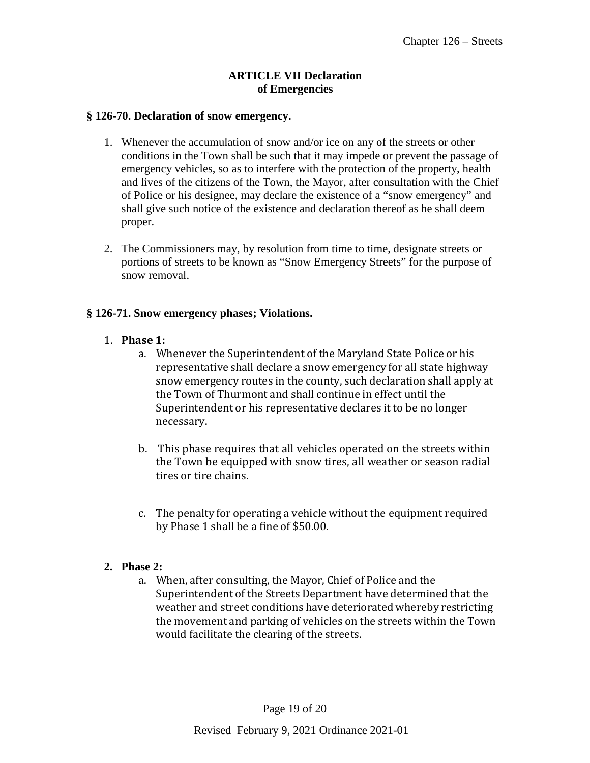### **ARTICLE VII Declaration of Emergencies**

#### **§ 126-70. Declaration of snow emergency.**

- 1. Whenever the accumulation of snow and/or ice on any of the streets or other conditions in the Town shall be such that it may impede or prevent the passage of emergency vehicles, so as to interfere with the protection of the property, health and lives of the citizens of the Town, the Mayor, after consultation with the Chief of Police or his designee, may declare the existence of a "snow emergency" and shall give such notice of the existence and declaration thereof as he shall deem proper.
- 2. The Commissioners may, by resolution from time to time, designate streets or portions of streets to be known as "Snow Emergency Streets" for the purpose of snow removal.

#### **§ 126-71. Snow emergency phases; Violations.**

- 1. **Phase 1:**
	- a. Whenever the Superintendent of the Maryland State Police or his representative shall declare a snow emergency for all state highway snow emergency routes in the county, such declaration shall apply at the Town of Thurmont and shall continue in effect until the Superintendent or his representative declares it to be no longer necessary.
	- b. This phase requires that all vehicles operated on the streets within the Town be equipped with snow tires, all weather or season radial tires or tire chains.
	- c. The penalty for operating a vehicle without the equipment required by Phase 1 shall be a fine of \$50.00.

## **2. Phase 2:**

a. When, after consulting, the Mayor, Chief of Police and the Superintendent of the Streets Department have determined that the weather and street conditions have deteriorated whereby restricting the movement and parking of vehicles on the streets within the Town would facilitate the clearing of the streets.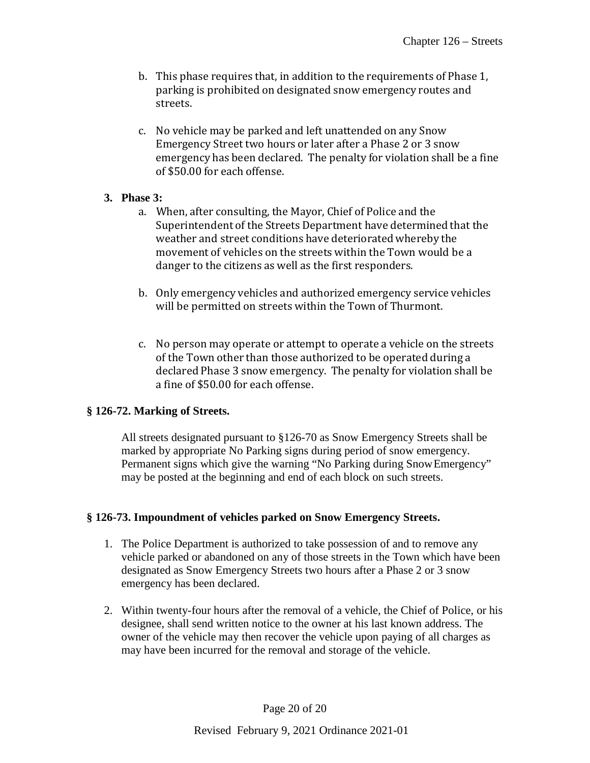- b. This phase requires that, in addition to the requirements of Phase 1, parking is prohibited on designated snow emergency routes and streets.
- c. No vehicle may be parked and left unattended on any Snow Emergency Street two hours or later after a Phase 2 or 3 snow emergency has been declared. The penalty for violation shall be a fine of \$50.00 for each offense.

## **3. Phase 3:**

- a. When, after consulting, the Mayor, Chief of Police and the Superintendent of the Streets Department have determined that the weather and street conditions have deteriorated whereby the movement of vehicles on the streets within the Town would be a danger to the citizens as well as the first responders.
- b. Only emergency vehicles and authorized emergency service vehicles will be permitted on streets within the Town of Thurmont.
- c. No person may operate or attempt to operate a vehicle on the streets of the Town other than those authorized to be operated during a declared Phase 3 snow emergency. The penalty for violation shall be a fine of \$50.00 for each offense.

## **§ 126-72. Marking of Streets.**

All streets designated pursuant to §126-70 as Snow Emergency Streets shall be marked by appropriate No Parking signs during period of snow emergency. Permanent signs which give the warning "No Parking during SnowEmergency" may be posted at the beginning and end of each block on such streets.

## **§ 126-73. Impoundment of vehicles parked on Snow Emergency Streets.**

- 1. The Police Department is authorized to take possession of and to remove any vehicle parked or abandoned on any of those streets in the Town which have been designated as Snow Emergency Streets two hours after a Phase 2 or 3 snow emergency has been declared.
- 2. Within twenty-four hours after the removal of a vehicle, the Chief of Police, or his designee, shall send written notice to the owner at his last known address. The owner of the vehicle may then recover the vehicle upon paying of all charges as may have been incurred for the removal and storage of the vehicle.